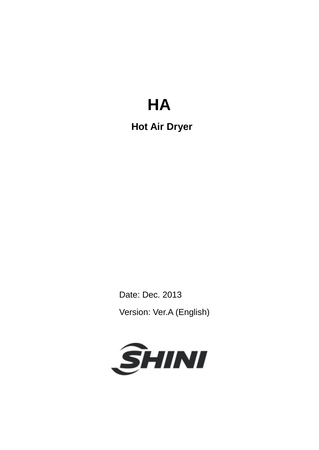# **HA**

**Hot Air Dryer** 

Date: Dec. 2013 Version: Ver.A (English)

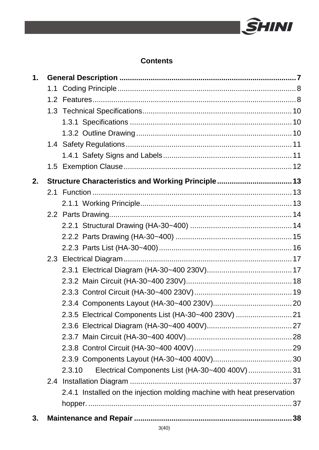

#### **Contents**

| 1. |                                                                         |  |
|----|-------------------------------------------------------------------------|--|
|    |                                                                         |  |
|    |                                                                         |  |
|    |                                                                         |  |
|    |                                                                         |  |
|    |                                                                         |  |
|    |                                                                         |  |
|    |                                                                         |  |
|    |                                                                         |  |
| 2. | Structure Characteristics and Working Principle 13                      |  |
|    |                                                                         |  |
|    |                                                                         |  |
|    |                                                                         |  |
|    |                                                                         |  |
|    |                                                                         |  |
|    |                                                                         |  |
|    |                                                                         |  |
|    |                                                                         |  |
|    |                                                                         |  |
|    |                                                                         |  |
|    |                                                                         |  |
|    | 2.3.5 Electrical Components List (HA-30~400 230V) 21                    |  |
|    |                                                                         |  |
|    |                                                                         |  |
|    |                                                                         |  |
|    |                                                                         |  |
|    | Electrical Components List (HA-30~400 400V)31<br>2.3.10                 |  |
|    |                                                                         |  |
|    | 2.4.1 Installed on the injection molding machine with heat preservation |  |
|    |                                                                         |  |
| 3. |                                                                         |  |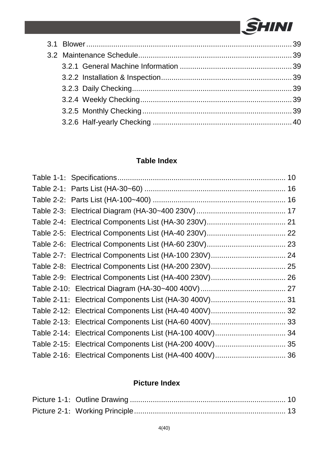

### **Table Index**

| Table 2-14: Electrical Components List (HA-100 400V) 34 |  |
|---------------------------------------------------------|--|
| Table 2-15: Electrical Components List (HA-200 400V) 35 |  |
| Table 2-16: Electrical Components List (HA-400 400V) 36 |  |

#### **Picture Index**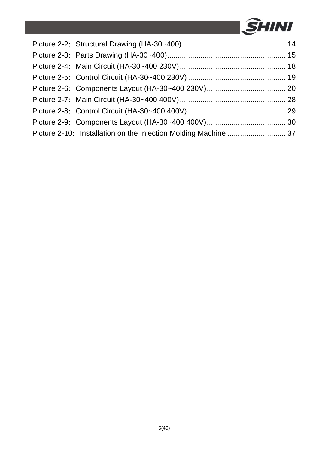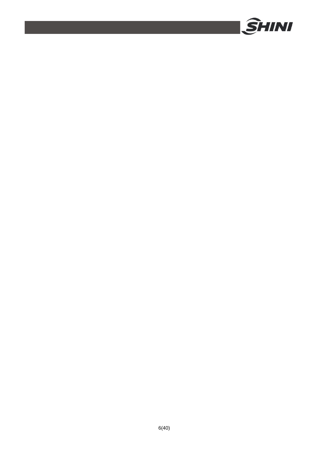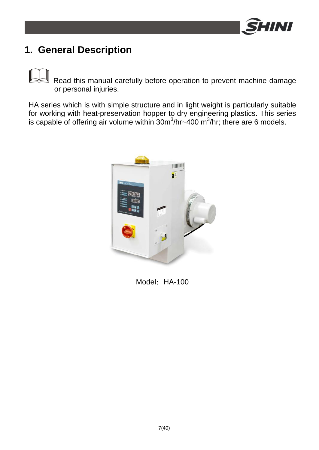

# **1. General Description**

Read this manual carefully before operation to prevent machine damage or personal injuries.

HA series which is with simple structure and in light weight is particularly suitable for working with heat-preservation hopper to dry engineering plastics. This series is capable of offering air volume within  $30m^3$ /hr $\sim$ 400 m $^3$ /hr; there are 6 models.



Model: HA-100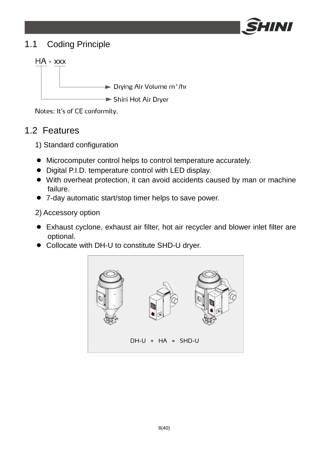

### 1.1 Coding Principle



Notes: It's of CE conformity.

### 1.2 Features

- 1) Standard configuration
- Microcomputer control helps to control temperature accurately.
- Digital P.I.D. temperature control with LED display.
- With overheat protection, it can avoid accidents caused by man or machine failure.
- 7-day automatic start/stop timer helps to save power.

#### 2) Accessory option

- Exhaust cyclone, exhaust air filter, hot air recycler and blower inlet filter are optional.
- Collocate with DH-U to constitute SHD-U dryer.

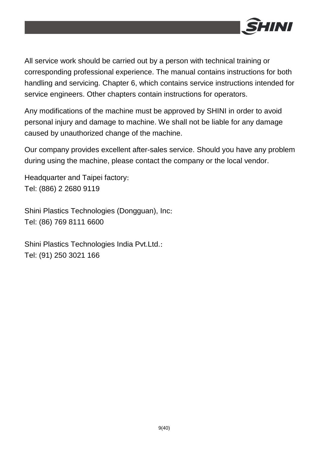

All service work should be carried out by a person with technical training or corresponding professional experience. The manual contains instructions for both handling and servicing. Chapter 6, which contains service instructions intended for service engineers. Other chapters contain instructions for operators.

Any modifications of the machine must be approved by SHINI in order to avoid personal injury and damage to machine. We shall not be liable for any damage caused by unauthorized change of the machine.

Our company provides excellent after-sales service. Should you have any problem during using the machine, please contact the company or the local vendor.

Headquarter and Taipei factory: Tel: (886) 2 2680 9119

Shini Plastics Technologies (Dongguan), Inc: Tel: (86) 769 8111 6600

Shini Plastics Technologies India Pvt.Ltd.: Tel: (91) 250 3021 166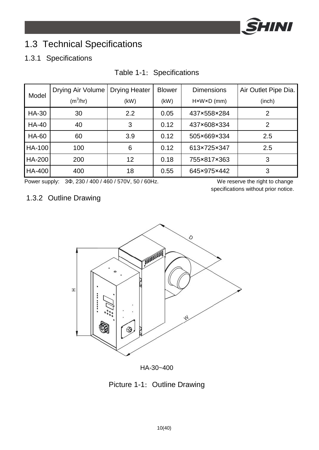

# 1.3 Technical Specifications

### 1.3.1 Specifications

| Model         | Drying Air Volume | <b>Drying Heater</b> | <b>Blower</b> | <b>Dimensions</b>          | Air Outlet Pipe Dia. |  |
|---------------|-------------------|----------------------|---------------|----------------------------|----------------------|--|
|               | $(m^3/hr)$        | (kW)                 | (kW)          | $H \times W \times D$ (mm) | (inch)               |  |
| HA-30         | 30                | 2.2                  | 0.05          | 437×558×284                | 2                    |  |
| <b>HA-40</b>  | 40                | 3                    | 0.12          | 437×608×334                | 2                    |  |
| HA-60         | 60                | 3.9                  | 0.12          | 505×669×334                | 2.5                  |  |
| <b>HA-100</b> | 100               | 6                    | 0.12          | 613×725×347                | 2.5                  |  |
| <b>HA-200</b> | 200               | 12                   | 0.18          | 755×817×363                | 3                    |  |
| HA-400        | 400               | 18                   | 0.55          | 645×975×442                | 3                    |  |

#### Table 1-1: Specifications

Power supply: 3Φ, 230 / 400 / 460 / 570V, 50 / 60Hz. We reserve the right to change

specifications without prior notice.

### 1.3.2 Outline Drawing



HA-30~400

Picture 1-1: Outline Drawing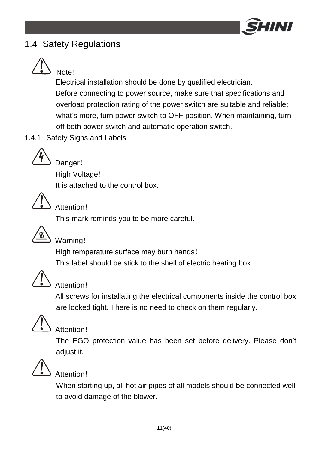

### 1.4 Safety Regulations



# Note!

Electrical installation should be done by qualified electrician. Before connecting to power source, make sure that specifications and overload protection rating of the power switch are suitable and reliable; what's more, turn power switch to OFF position. When maintaining, turn off both power switch and automatic operation switch.

1.4.1 Safety Signs and Labels



### Danger!

High Voltage! It is attached to the control box.



### Attention!

This mark reminds you to be more careful.



### Warning!

High temperature surface may burn hands! This label should be stick to the shell of electric heating box.



## Attention!

All screws for installating the electrical components inside the control box are locked tight. There is no need to check on them regularly.



### Attention!

The EGO protection value has been set before delivery. Please don't adjust it.



### Attention!

When starting up, all hot air pipes of all models should be connected well to avoid damage of the blower.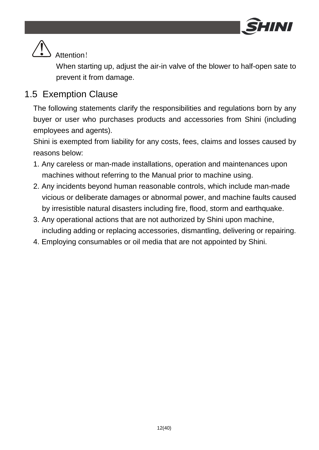

# Attention!

When starting up, adjust the air-in valve of the blower to half-open sate to prevent it from damage.

### 1.5 Exemption Clause

The following statements clarify the responsibilities and regulations born by any buyer or user who purchases products and accessories from Shini (including employees and agents).

Shini is exempted from liability for any costs, fees, claims and losses caused by reasons below:

- 1. Any careless or man-made installations, operation and maintenances upon machines without referring to the Manual prior to machine using.
- 2. Any incidents beyond human reasonable controls, which include man-made vicious or deliberate damages or abnormal power, and machine faults caused by irresistible natural disasters including fire, flood, storm and earthquake.
- 3. Any operational actions that are not authorized by Shini upon machine, including adding or replacing accessories, dismantling, delivering or repairing.
- 4. Employing consumables or oil media that are not appointed by Shini.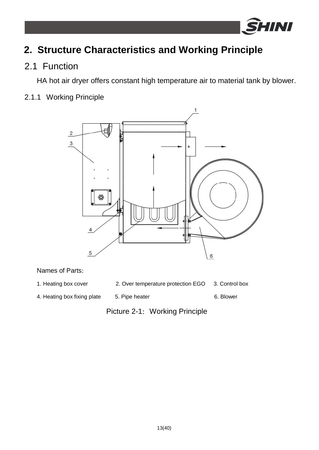

# **2. Structure Characteristics and Working Principle**

### 2.1 Function

HA hot air dryer offers constant high temperature air to material tank by blower.

#### 2.1.1 Working Principle



#### Names of Parts:

- 1. Heating box cover 2. Over temperature protection EGO 3. Control box
- 4. Heating box fixing plate 5. Pipe heater 6. Blower
- 

Picture 2-1: Working Principle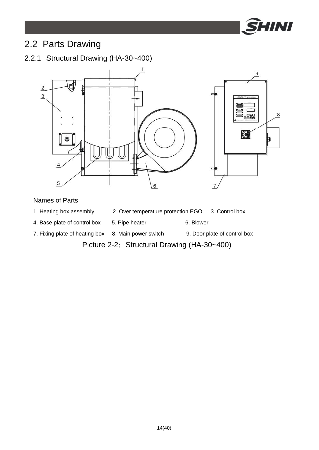

### 2.2 Parts Drawing





#### Names of Parts:

- 1. Heating box assembly 2. Over temperature protection EGO 3. Control box
- 
- 
- 4. Base plate of control box 5. Pipe heater 6. Blower
- 7. Fixing plate of heating box 8. Main power switch 9. Door plate of control box
	- Picture 2-2: Structural Drawing (HA-30~400)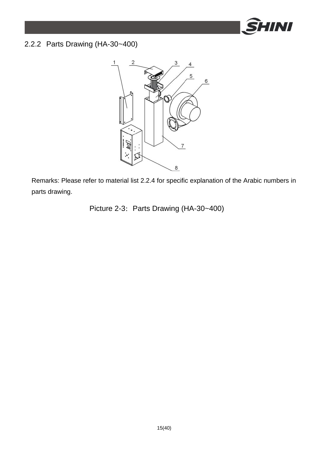

#### 2.2.2 Parts Drawing (HA-30~400)



Remarks: Please refer to material list 2.2.4 for specific explanation of the Arabic numbers in parts drawing.

Picture 2-3: Parts Drawing (HA-30~400)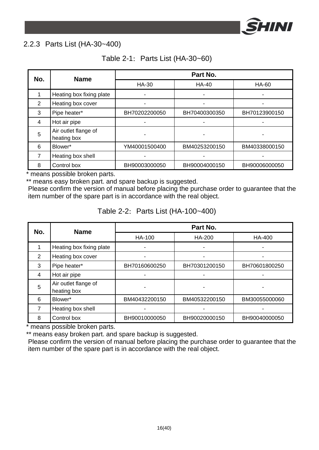

#### 2.2.3 Parts List (HA-30~400)

| No.            | <b>Name</b>                         | Part No.      |               |               |  |  |  |
|----------------|-------------------------------------|---------------|---------------|---------------|--|--|--|
|                |                                     | <b>HA-30</b>  | <b>HA-40</b>  | HA-60         |  |  |  |
|                | Heating box fixing plate            |               |               |               |  |  |  |
| 2              | Heating box cover                   | -             |               |               |  |  |  |
| 3              | Pipe heater*                        | BH70202200050 | BH70400300350 | BH70123900150 |  |  |  |
| 4              | Hot air pipe                        |               |               |               |  |  |  |
| 5              | Air outlet flange of<br>heating box |               |               |               |  |  |  |
| 6              | Blower*                             | YM40001500400 | BM40253200150 | BM40338000150 |  |  |  |
| $\overline{7}$ | Heating box shell                   |               |               |               |  |  |  |
| 8              | Control box                         | BH90003000050 | BH90004000150 | BH90006000050 |  |  |  |
|                | .                                   |               |               |               |  |  |  |

|  |  | Table 2-1: Parts List (HA-30~60) |
|--|--|----------------------------------|
|--|--|----------------------------------|

\* means possible broken parts.

\*\* means easy broken part. and spare backup is suggested.

Please confirm the version of manual before placing the purchase order to guarantee that the item number of the spare part is in accordance with the real object.

|  | Table 2-2: Parts List (HA-100~400) |
|--|------------------------------------|
|--|------------------------------------|

| No. | <b>Name</b>                         | Part No.      |               |               |  |  |
|-----|-------------------------------------|---------------|---------------|---------------|--|--|
|     |                                     | HA-100        | HA-200        | HA-400        |  |  |
|     | Heating box fixing plate            |               |               |               |  |  |
| 2   | Heating box cover                   |               |               | -             |  |  |
| 3   | Pipe heater*                        | BH70160600250 | BH70301200150 | BH70601800250 |  |  |
| 4   | Hot air pipe                        |               |               |               |  |  |
| 5   | Air outlet flange of<br>heating box |               |               |               |  |  |
| 6   | Blower*                             | BM40432200150 | BM40532200150 | BM30055000060 |  |  |
| 7   | Heating box shell                   |               |               |               |  |  |
| 8   | Control box                         | BH90010000050 | BH90020000150 | BH90040000050 |  |  |

\* means possible broken parts.

\*\* means easy broken part. and spare backup is suggested.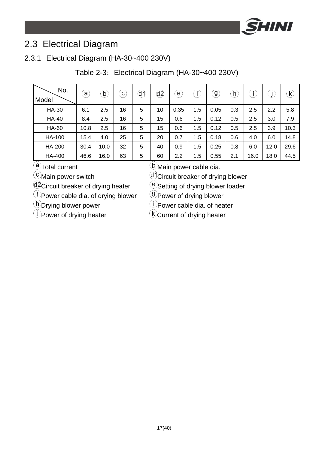

### 2.3 Electrical Diagram

### 2.3.1 Electrical Diagram (HA-30~400 230V)

| No.<br>Model | a    | $\mathbf{b}$ | с  | d1 | d2 | e    | $\mathbf{f}$ | $\mathbf{g}$ | [h] | ï    |      | $\mathbf{k}$ |
|--------------|------|--------------|----|----|----|------|--------------|--------------|-----|------|------|--------------|
| <b>HA-30</b> | 6.1  | 2.5          | 16 | 5  | 10 | 0.35 | 1.5          | 0.05         | 0.3 | 2.5  | 2.2  | 5.8          |
| <b>HA-40</b> | 8.4  | 2.5          | 16 | 5  | 15 | 0.6  | 1.5          | 0.12         | 0.5 | 2.5  | 3.0  | 7.9          |
| HA-60        | 10.8 | 2.5          | 16 | 5  | 15 | 0.6  | 1.5          | 0.12         | 0.5 | 2.5  | 3.9  | 10.3         |
| HA-100       | 15.4 | 4.0          | 25 | 5  | 20 | 0.7  | 1.5          | 0.18         | 0.6 | 4.0  | 6.0  | 14.8         |
| HA-200       | 30.4 | 10.0         | 32 | 5  | 40 | 0.9  | 1.5          | 0.25         | 0.8 | 6.0  | 12.0 | 29.6         |
| HA-400       | 46.6 | 16.0         | 63 | 5  | 60 | 2.2  | 1.5          | 0.55         | 2.1 | 16.0 | 18.0 | 44.5         |

### Table 2-3: Electrical Diagram (HA-30~400 230V)

 $d^2$ Circuit breaker of drying heater  $\bigcirc$ Setting of drying blower loader

 $\Box$ Power cable dia. of drying blower  $\Box$ Power of drying blower

 $\Theta$ Total current  $\Theta$ Main power cable dia.

CMain power switch Circuit breaker of drying blower

 $\Box$ Drying blower power  $\Box$ Power cable dia. of heater

 $\mathbb O$ Power of drying heater  $\mathbb C$ Current of drying heater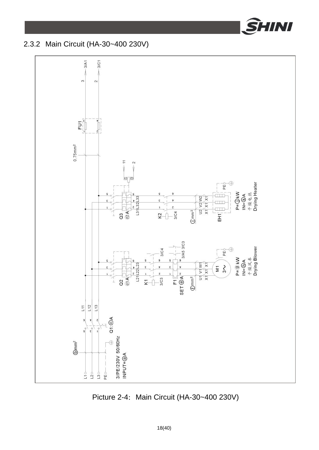### 2.3.2 Main Circuit (HA-30~400 230V)



**INI** 

Picture 2-4: Main Circuit (HA-30~400 230V)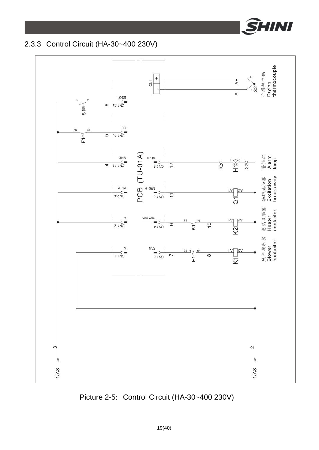

2.3.3 Control Circuit (HA-30~400 230V)



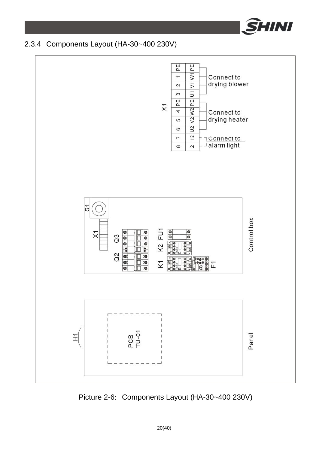

2.3.4 Components Layout (HA-30~400 230V)



Picture 2-6: Components Layout (HA-30~400 230V)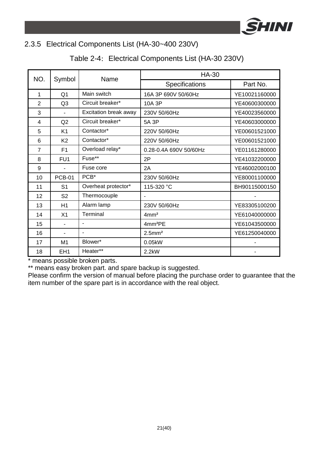

#### 2.3.5 Electrical Components List (HA-30~400 230V)

| NO.            | Symbol          | Name                  | <b>HA-30</b>           |               |
|----------------|-----------------|-----------------------|------------------------|---------------|
|                |                 |                       | Specifications         | Part No.      |
| 1              | Q1              | Main switch           | 16A 3P 690V 50/60Hz    | YE10021160000 |
| $\overline{2}$ | Q <sub>3</sub>  | Circuit breaker*      | 10A 3P                 | YE40600300000 |
| 3              |                 | Excitation break away | 230V 50/60Hz           | YE40023560000 |
| 4              | Q <sub>2</sub>  | Circuit breaker*      | 5A 3P                  | YE40603000000 |
| 5              | K <sub>1</sub>  | Contactor*            | 220V 50/60Hz           | YE00601521000 |
| 6              | K <sub>2</sub>  | Contactor*            | 220V 50/60Hz           | YE00601521000 |
| 7              | F <sub>1</sub>  | Overload relay*       | 0.28-0.4A 690V 50/60Hz | YE01161280000 |
| 8              | FU <sub>1</sub> | Fuse**                | 2P                     | YE41032200000 |
| 9              |                 | Fuse core             | 2A                     | YE46002000100 |
| 10             | <b>PCB-01</b>   | PCB*                  | 230V 50/60Hz           | YE80001100000 |
| 11             | S <sub>1</sub>  | Overheat protector*   | 115-320 °C             | BH90115000150 |
| 12             | S <sub>2</sub>  | Thermocouple          |                        |               |
| 13             | H1              | Alarm lamp            | 230V 50/60Hz           | YE83305100200 |
| 14             | X <sub>1</sub>  | Terminal              | 4mm <sup>2</sup>       | YE61040000000 |
| 15             |                 | ٠                     | 4mm <sup>2</sup> PE    | YE61043500000 |
| 16             |                 |                       | $2.5$ mm <sup>2</sup>  | YE61250040000 |
| 17             | M1              | Blower*               | 0.05kW                 |               |
| 18             | EH <sub>1</sub> | Heater**              | $2.2$ kW               |               |

Table 2-4: Electrical Components List (HA-30 230V)

means possible broken parts.

\*\* means easy broken part. and spare backup is suggested.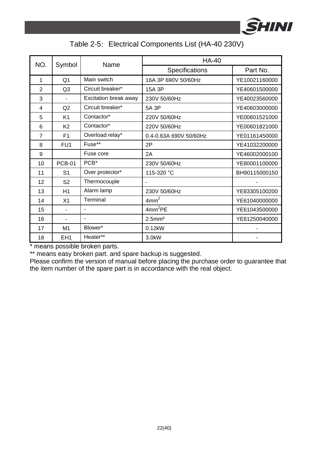

|  |  | Table 2-5: Electrical Components List (HA-40 230V) |  |  |  |
|--|--|----------------------------------------------------|--|--|--|
|--|--|----------------------------------------------------|--|--|--|

| NO.<br>Symbol  |                 | Name                  | <b>HA-40</b>           |               |  |  |
|----------------|-----------------|-----------------------|------------------------|---------------|--|--|
|                |                 |                       | Specifications         | Part No.      |  |  |
| 1              | Q1              | Main switch           | 16A 3P 690V 50/60Hz    | YE10021160000 |  |  |
| 2              | Q <sub>3</sub>  | Circuit breaker*      | 15A 3P                 | YE40601500000 |  |  |
| 3              |                 | Excitation break away | 230V 50/60Hz           | YE40023560000 |  |  |
| 4              | Q2              | Circuit breaker*      | 5A 3P                  | YE40603000000 |  |  |
| 5              | K <sub>1</sub>  | Contactor*            | 220V 50/60Hz           | YE00601521000 |  |  |
| 6              | K <sub>2</sub>  | Contactor*            | 220V 50/60Hz           | YE00601821000 |  |  |
| $\overline{7}$ | F <sub>1</sub>  | Overload relay*       | 0.4-0.63A 690V 50/60Hz | YE01161450000 |  |  |
| 8              | FU <sub>1</sub> | Fuse**                | 2P                     | YE41032200000 |  |  |
| 9              |                 | Fuse core             | 2A                     | YE46002000100 |  |  |
| 10             | <b>PCB-01</b>   | PCB*                  | 230V 50/60Hz           | YE80001100000 |  |  |
| 11             | S <sub>1</sub>  | Over protector*       | 115-320 °C             | BH90115000150 |  |  |
| 12             | S <sub>2</sub>  | Thermocouple          |                        |               |  |  |
| 13             | H1              | Alarm lamp            | 230V 50/60Hz           | YE83305100200 |  |  |
| 14             | X <sub>1</sub>  | Terminal              | 4mm <sup>2</sup>       | YE61040000000 |  |  |
| 15             | ٠               |                       | 4mm <sup>2</sup> PE    | YE61043500000 |  |  |
| 16             |                 |                       | $2.5$ mm <sup>2</sup>  | YE61250040000 |  |  |
| 17             | M1              | Blower*               | $0.12$ kW              |               |  |  |
| 18             | EH <sub>1</sub> | Heater**              | 3.0kW                  |               |  |  |

\* means possible broken parts.

\*\* means easy broken part. and spare backup is suggested.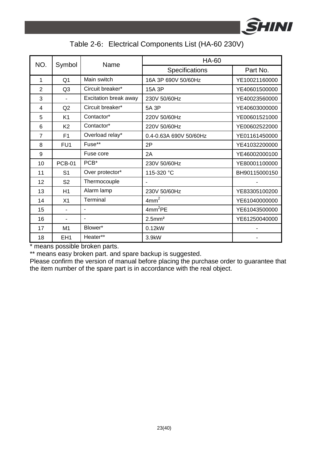

| Table 2-6: Electrical Components List (HA-60 230V) |  |  |
|----------------------------------------------------|--|--|
|                                                    |  |  |

| NO.<br>Symbol  |                 | Name                  | <b>HA-60</b>           |               |  |  |
|----------------|-----------------|-----------------------|------------------------|---------------|--|--|
|                |                 |                       | Specifications         | Part No.      |  |  |
| 1              | Q <sub>1</sub>  | Main switch           | 16A 3P 690V 50/60Hz    | YE10021160000 |  |  |
| 2              | Q <sub>3</sub>  | Circuit breaker*      | 15A 3P                 | YE40601500000 |  |  |
| 3              |                 | Excitation break away | 230V 50/60Hz           | YE40023560000 |  |  |
| 4              | Q2              | Circuit breaker*      | 5A 3P                  | YE40603000000 |  |  |
| 5              | K <sub>1</sub>  | Contactor*            | 220V 50/60Hz           | YE00601521000 |  |  |
| 6              | K <sub>2</sub>  | Contactor*            | 220V 50/60Hz           | YE00602522000 |  |  |
| $\overline{7}$ | F <sub>1</sub>  | Overload relay*       | 0.4-0.63A 690V 50/60Hz | YE01161450000 |  |  |
| 8              | FU <sub>1</sub> | Fuse**                | 2P                     | YE41032200000 |  |  |
| 9              |                 | Fuse core             | 2A                     | YE46002000100 |  |  |
| 10             | <b>PCB-01</b>   | PCB*                  | 230V 50/60Hz           | YE80001100000 |  |  |
| 11             | S <sub>1</sub>  | Over protector*       | 115-320 °C             | BH90115000150 |  |  |
| 12             | S <sub>2</sub>  | Thermocouple          |                        |               |  |  |
| 13             | H1              | Alarm lamp            | 230V 50/60Hz           | YE83305100200 |  |  |
| 14             | X <sub>1</sub>  | Terminal              | 4mm <sup>2</sup>       | YE61040000000 |  |  |
| 15             |                 |                       | 4mm <sup>2</sup> PE    | YE61043500000 |  |  |
| 16             |                 |                       | $2.5$ mm <sup>2</sup>  | YE61250040000 |  |  |
| 17             | M1              | Blower*               | 0.12kW                 |               |  |  |
| 18             | EH <sub>1</sub> | Heater**              | 3.9kW                  |               |  |  |

\* means possible broken parts.

\*\* means easy broken part. and spare backup is suggested.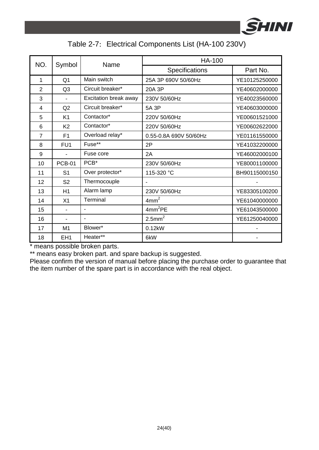

### Table 2-7: Electrical Components List (HA-100 230V)

| NO.<br>Symbol  |                          | Name                  | <b>HA-100</b>          |               |  |  |
|----------------|--------------------------|-----------------------|------------------------|---------------|--|--|
|                |                          |                       | Specifications         | Part No.      |  |  |
| 1              | Q <sub>1</sub>           | Main switch           | 25A 3P 690V 50/60Hz    | YE10125250000 |  |  |
| 2              | Q <sub>3</sub>           | Circuit breaker*      | 20A 3P                 | YE40602000000 |  |  |
| 3              |                          | Excitation break away | 230V 50/60Hz           | YE40023560000 |  |  |
| 4              | Q2                       | Circuit breaker*      | 5A 3P                  | YE40603000000 |  |  |
| 5              | K <sub>1</sub>           | Contactor*            | 220V 50/60Hz           | YE00601521000 |  |  |
| 6              | K <sub>2</sub>           | Contactor*            | 220V 50/60Hz           | YE00602622000 |  |  |
| $\overline{7}$ | F <sub>1</sub>           | Overload relay*       | 0.55-0.8A 690V 50/60Hz | YE01161550000 |  |  |
| 8              | FU <sub>1</sub>          | Fuse**                | 2P                     | YE41032200000 |  |  |
| 9              |                          | Fuse core             | 2A                     | YE46002000100 |  |  |
| 10             | <b>PCB-01</b>            | PCB*                  | 230V 50/60Hz           | YE80001100000 |  |  |
| 11             | S <sub>1</sub>           | Over protector*       | 115-320 °C             | BH90115000150 |  |  |
| 12             | S <sub>2</sub>           | Thermocouple          |                        |               |  |  |
| 13             | H1                       | Alarm lamp            | 230V 50/60Hz           | YE83305100200 |  |  |
| 14             | X <sub>1</sub>           | Terminal              | 4mm <sup>2</sup>       | YE61040000000 |  |  |
| 15             | $\overline{\phantom{0}}$ |                       | 4mm <sup>2</sup> PE    | YE61043500000 |  |  |
| 16             |                          |                       | $2.5$ mm <sup>2</sup>  | YE61250040000 |  |  |
| 17             | M1                       | Blower*               | 0.12kW                 |               |  |  |
| 18             | EH <sub>1</sub>          | Heater**              | 6kW                    |               |  |  |

\* means possible broken parts.

\*\* means easy broken part. and spare backup is suggested.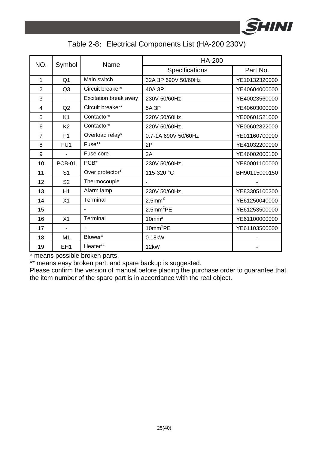

### Table 2-8: Electrical Components List (HA-200 230V)

| NO.<br>Symbol  | Name            | <b>HA-200</b>         |                            |               |  |
|----------------|-----------------|-----------------------|----------------------------|---------------|--|
|                |                 | Specifications        | Part No.                   |               |  |
| 1              | Q <sub>1</sub>  | Main switch           | 32A 3P 690V 50/60Hz        | YE10132320000 |  |
| 2              | Q <sub>3</sub>  | Circuit breaker*      | 40A 3P                     | YE40604000000 |  |
| 3              |                 | Excitation break away | 230V 50/60Hz               | YE40023560000 |  |
| 4              | Q2              | Circuit breaker*      | 5A 3P                      | YE40603000000 |  |
| 5              | K <sub>1</sub>  | Contactor*            | 220V 50/60Hz               | YE00601521000 |  |
| 6              | K <sub>2</sub>  | Contactor*            | 220V 50/60Hz               | YE00602822000 |  |
| $\overline{7}$ | F <sub>1</sub>  | Overload relay*       | 0.7-1A 690V 50/60Hz        | YE01160700000 |  |
| 8              | FU <sub>1</sub> | Fuse**                | 2P                         | YE41032200000 |  |
| 9              |                 | Fuse core             | 2A                         | YE46002000100 |  |
| 10             | <b>PCB-01</b>   | PCB <sup>*</sup>      | 230V 50/60Hz               | YE80001100000 |  |
| 11             | S <sub>1</sub>  | Over protector*       | 115-320 °C                 | BH90115000150 |  |
| 12             | S <sub>2</sub>  | Thermocouple          | $\overline{a}$             |               |  |
| 13             | H1              | Alarm lamp            | 230V 50/60Hz               | YE83305100200 |  |
| 14             | X <sub>1</sub>  | Terminal              | $2.5$ mm <sup>2</sup>      | YE61250040000 |  |
| 15             |                 |                       | $2.5$ mm <sup>2</sup> $PE$ | YE61253500000 |  |
| 16             | X <sub>1</sub>  | Terminal              | 10mm <sup>2</sup>          | YE61100000000 |  |
| 17             |                 |                       | 10mm <sup>2</sup> PE       | YE61103500000 |  |
| 18             | M1              | Blower*               | 0.18kW                     |               |  |
| 19             | EH <sub>1</sub> | Heater**              | 12 <sub>k</sub> W          |               |  |

\* means possible broken parts.

\*\* means easy broken part. and spare backup is suggested.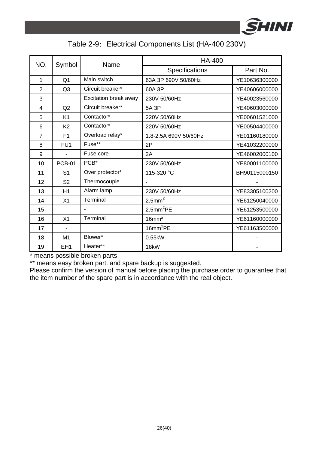

### Table 2-9: Electrical Components List (HA-400 230V)

| NO.<br>Symbol  |                 | Name                  | <b>HA-400</b>              |               |  |  |
|----------------|-----------------|-----------------------|----------------------------|---------------|--|--|
|                |                 |                       | Specifications             | Part No.      |  |  |
| 1              | Q <sub>1</sub>  | Main switch           | 63A 3P 690V 50/60Hz        | YE10636300000 |  |  |
| 2              | Q <sub>3</sub>  | Circuit breaker*      | 60A 3P                     | YE40606000000 |  |  |
| 3              |                 | Excitation break away | 230V 50/60Hz               | YE40023560000 |  |  |
| 4              | Q2              | Circuit breaker*      | 5A 3P                      | YE40603000000 |  |  |
| 5              | K <sub>1</sub>  | Contactor*            | 220V 50/60Hz               | YE00601521000 |  |  |
| 6              | K <sub>2</sub>  | Contactor*            | 220V 50/60Hz               | YE00504400000 |  |  |
| $\overline{7}$ | F <sub>1</sub>  | Overload relay*       | 1.8-2.5A 690V 50/60Hz      | YE01160180000 |  |  |
| 8              | FU <sub>1</sub> | Fuse**                | 2P                         | YE41032200000 |  |  |
| 9              |                 | Fuse core             | 2A                         | YE46002000100 |  |  |
| 10             | <b>PCB-01</b>   | PCB <sup>*</sup>      | 230V 50/60Hz               | YE80001100000 |  |  |
| 11             | S <sub>1</sub>  | Over protector*       | 115-320 °C                 | BH90115000150 |  |  |
| 12             | S <sub>2</sub>  | Thermocouple          | $\overline{a}$             |               |  |  |
| 13             | H1              | Alarm lamp            | 230V 50/60Hz               | YE83305100200 |  |  |
| 14             | X <sub>1</sub>  | Terminal              | $2.5$ mm <sup>2</sup>      | YE61250040000 |  |  |
| 15             |                 |                       | $2.5$ mm <sup>2</sup> $PE$ | YE61253500000 |  |  |
| 16             | X <sub>1</sub>  | Terminal              | $16$ mm <sup>2</sup>       | YE61160000000 |  |  |
| 17             |                 |                       | 16mm <sup>2</sup> PE       | YE61163500000 |  |  |
| 18             | M1              | Blower*               | 0.55kW                     |               |  |  |
| 19             | EH <sub>1</sub> | Heater**              | 18kW                       |               |  |  |

\* means possible broken parts.

\*\* means easy broken part. and spare backup is suggested.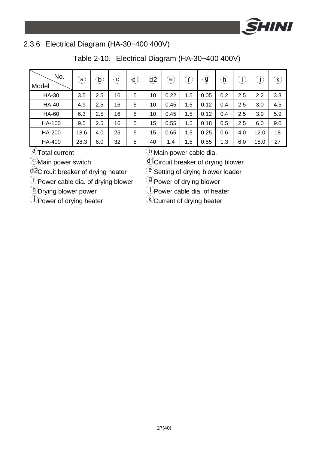

### 2.3.6 Electrical Diagram (HA-30~400 400V)

|  | Table 2-10: Electrical Diagram (HA-30~400 400V) |  |
|--|-------------------------------------------------|--|
|--|-------------------------------------------------|--|

| No.<br>Model  | a    | $\mathbf{b}$ | $\mathbf{c}$ | d1 | d2 | е    | f   | $\mathbf{g}$ | h)  | O)  |      | $\mathbf{k}$ |
|---------------|------|--------------|--------------|----|----|------|-----|--------------|-----|-----|------|--------------|
| <b>HA-30</b>  | 3.5  | 2.5          | 16           | 5  | 10 | 0.22 | 1.5 | 0.05         | 0.2 | 2.5 | 2.2  | 3.3          |
| <b>HA-40</b>  | 4.9  | 2.5          | 16           | 5  | 10 | 0.45 | 1.5 | 0.12         | 0.4 | 2.5 | 3.0  | 4.5          |
| HA-60         | 6.3  | 2.5          | 16           | 5  | 10 | 0.45 | 1.5 | 0.12         | 0.4 | 2.5 | 3.9  | 5.9          |
| HA-100        | 9.5  | 2.5          | 16           | 5  | 15 | 0.55 | 1.5 | 0.18         | 0.5 | 2.5 | 6.0  | 9.0          |
| <b>HA-200</b> | 18.6 | 4.0          | 25           | 5  | 15 | 0.65 | 1.5 | 0.25         | 0.6 | 4.0 | 12.0 | 18           |
| HA-400        | 28.3 | 6.0          | 32           | 5  | 40 | 1.4  | 1.5 | 0.55         | 1.3 | 6.0 | 18.0 | 27           |

Circuit breaker of drying heater Setting of drying blower loader  $\widehat{\mathbb{C}}$ Power cable dia. of drying blower

 $\Theta$ Total current  $\Theta$ Main power cable dia.

CMain power switch Circuit breaker of drying blower

 $\mathbb D$ Drying blower power  $\mathbb D$ Power cable dia. of heater

 $\overline{\mathbb{C}}$ Power of drying heater  $\overline{\mathbb{C}}$ Current of drying heater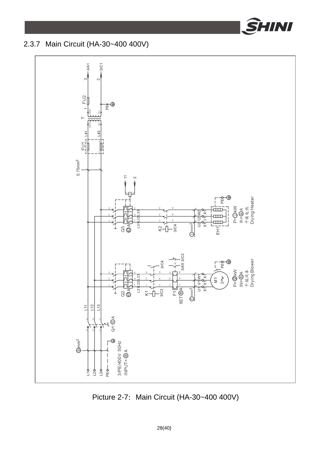



**NI** 

Picture 2-7: Main Circuit (HA-30~400 400V)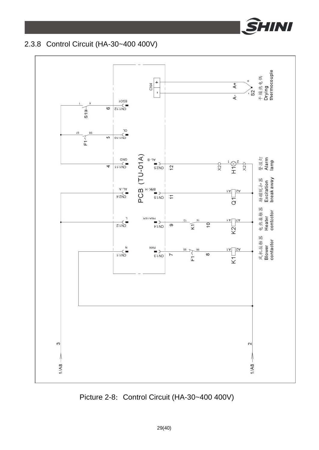

2.3.8 Control Circuit (HA-30~400 400V)



Picture 2-8: Control Circuit (HA-30~400 400V)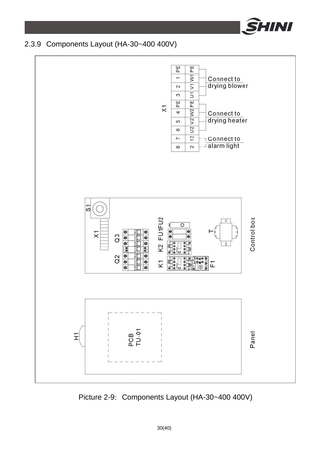

2.3.9 Components Layout (HA-30~400 400V)



Picture 2-9: Components Layout (HA-30~400 400V)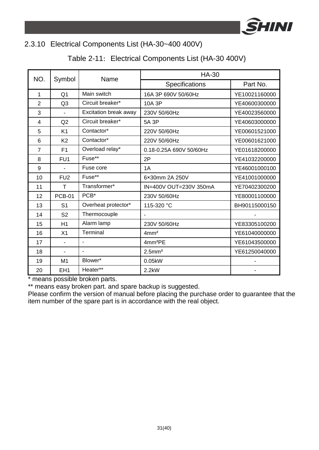

### 2.3.10 Electrical Components List (HA-30~400 400V)

|  |  |  |  | Table 2-11: Electrical Components List (HA-30 400V) |  |
|--|--|--|--|-----------------------------------------------------|--|
|--|--|--|--|-----------------------------------------------------|--|

| NO.<br>Symbol  | Name                     | <b>HA-30</b>          |                         |               |  |
|----------------|--------------------------|-----------------------|-------------------------|---------------|--|
|                |                          |                       | Specifications          | Part No.      |  |
| 1              | Q <sub>1</sub>           | Main switch           | 16A 3P 690V 50/60Hz     | YE10021160000 |  |
| $\overline{2}$ | Q <sub>3</sub>           | Circuit breaker*      | 10A 3P                  | YE40600300000 |  |
| 3              |                          | Excitation break away | 230V 50/60Hz            | YE40023560000 |  |
| 4              | Q2                       | Circuit breaker*      | 5A 3P                   | YE40603000000 |  |
| 5              | K <sub>1</sub>           | Contactor*            | 220V 50/60Hz            | YE00601521000 |  |
| 6              | K <sub>2</sub>           | Contactor*            | 220V 50/60Hz            | YE00601621000 |  |
| $\overline{7}$ | F <sub>1</sub>           | Overload relay*       | 0.18-0.25A 690V 50/60Hz | YE01618200000 |  |
| 8              | FU <sub>1</sub>          | Fuse**                | 2P                      | YE41032200000 |  |
| 9              |                          | Fuse core             | 1A                      | YE46001000100 |  |
| 10             | FU <sub>2</sub>          | Fuse**                | 6×30mm 2A 250V          | YE41001000000 |  |
| 11             | $\top$                   | Transformer*          | IN=400V OUT=230V 350mA  | YE70402300200 |  |
| 12             | <b>PCB-01</b>            | PCB*                  | 230V 50/60Hz            | YE80001100000 |  |
| 13             | S <sub>1</sub>           | Overheat protector*   | 115-320 °C              | BH90115000150 |  |
| 14             | S <sub>2</sub>           | Thermocouple          |                         |               |  |
| 15             | H1                       | Alarm lamp            | 230V 50/60Hz            | YE83305100200 |  |
| 16             | X <sub>1</sub>           | Terminal              | 4mm <sup>2</sup>        | YE61040000000 |  |
| 17             | $\blacksquare$           |                       | 4mm <sup>2</sup> PE     | YE61043500000 |  |
| 18             | $\overline{\phantom{a}}$ | $\blacksquare$        | $2.5$ mm <sup>2</sup>   | YE61250040000 |  |
| 19             | M1                       | Blower*               | 0.05kW                  |               |  |
| 20             | EH <sub>1</sub>          | Heater**              | $2.2$ kW                |               |  |

\* means possible broken parts.

\*\* means easy broken part. and spare backup is suggested.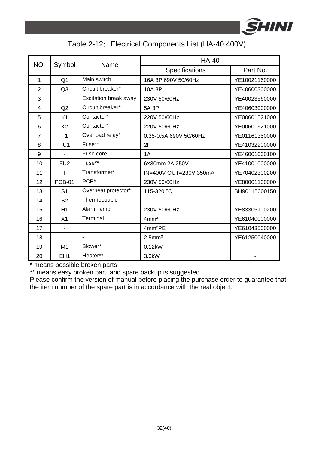

|  | Table 2-12: Electrical Components List (HA-40 400V) |  |
|--|-----------------------------------------------------|--|
|--|-----------------------------------------------------|--|

| NO.            | Symbol          | Name                  | <b>HA-40</b>           |               |  |
|----------------|-----------------|-----------------------|------------------------|---------------|--|
|                |                 |                       | Specifications         | Part No.      |  |
| 1              | Q <sub>1</sub>  | Main switch           | 16A 3P 690V 50/60Hz    | YE10021160000 |  |
| $\overline{2}$ | Q <sub>3</sub>  | Circuit breaker*      | 10A 3P                 | YE40600300000 |  |
| 3              |                 | Excitation break away | 230V 50/60Hz           | YE40023560000 |  |
| 4              | Q2              | Circuit breaker*      | 5A 3P                  | YE40603000000 |  |
| 5              | K <sub>1</sub>  | Contactor*            | 220V 50/60Hz           | YE00601521000 |  |
| 6              | K <sub>2</sub>  | Contactor*            | 220V 50/60Hz           | YE00601621000 |  |
| 7              | F <sub>1</sub>  | Overload relay*       | 0.35-0.5A 690V 50/60Hz | YE01161350000 |  |
| 8              | FU <sub>1</sub> | Fuse**                | 2P                     | YE41032200000 |  |
| 9              | $\blacksquare$  | Fuse core             | 1A                     | YE46001000100 |  |
| 10             | FU <sub>2</sub> | Fuse**                | 6×30mm 2A 250V         | YE41001000000 |  |
| 11             | T               | Transformer*          | IN=400V OUT=230V 350mA | YE70402300200 |  |
| 12             | <b>PCB-01</b>   | PCB*                  | 230V 50/60Hz           | YE80001100000 |  |
| 13             | S <sub>1</sub>  | Overheat protector*   | 115-320 °C             | BH90115000150 |  |
| 14             | S <sub>2</sub>  | Thermocouple          |                        |               |  |
| 15             | H1              | Alarm lamp            | 230V 50/60Hz           | YE83305100200 |  |
| 16             | X <sub>1</sub>  | Terminal              | 4mm <sup>2</sup>       | YE61040000000 |  |
| 17             |                 |                       | 4mm <sup>2</sup> PE    | YE61043500000 |  |
| 18             | $\blacksquare$  | $\blacksquare$        | $2.5$ mm <sup>2</sup>  | YE61250040000 |  |
| 19             | M1              | Blower*               | $0.12$ kW              |               |  |
| 20             | EH <sub>1</sub> | Heater**              | 3.0kW                  |               |  |

\* means possible broken parts.

\*\* means easy broken part. and spare backup is suggested.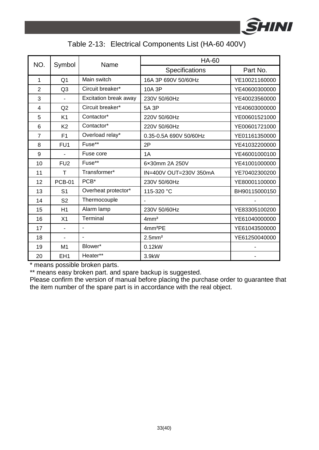

|  | Table 2-13: Electrical Components List (HA-60 400V) |  |
|--|-----------------------------------------------------|--|
|--|-----------------------------------------------------|--|

| NO.            | Symbol                   | Name                  | <b>HA-60</b>           |               |  |
|----------------|--------------------------|-----------------------|------------------------|---------------|--|
|                |                          |                       | Specifications         | Part No.      |  |
| 1              | Q <sub>1</sub>           | Main switch           | 16A 3P 690V 50/60Hz    | YE10021160000 |  |
| $\overline{2}$ | Q <sub>3</sub>           | Circuit breaker*      | 10A 3P                 | YE40600300000 |  |
| 3              | $\frac{1}{2}$            | Excitation break away | 230V 50/60Hz           | YE40023560000 |  |
| 4              | Q <sub>2</sub>           | Circuit breaker*      | 5A 3P                  | YE40603000000 |  |
| 5              | K <sub>1</sub>           | Contactor*            | 220V 50/60Hz           | YE00601521000 |  |
| 6              | K <sub>2</sub>           | Contactor*            | 220V 50/60Hz           | YE00601721000 |  |
| $\overline{7}$ | F1                       | Overload relay*       | 0.35-0.5A 690V 50/60Hz | YE01161350000 |  |
| 8              | FU <sub>1</sub>          | Fuse**                | 2P                     | YE41032200000 |  |
| 9              | $\blacksquare$           | Fuse core             | 1A                     | YE46001000100 |  |
| 10             | FU <sub>2</sub>          | Fuse**                | 6×30mm 2A 250V         | YE41001000000 |  |
| 11             | T                        | Transformer*          | IN=400V OUT=230V 350mA | YE70402300200 |  |
| 12             | <b>PCB-01</b>            | PCB <sup>*</sup>      | 230V 50/60Hz           | YE80001100000 |  |
| 13             | S <sub>1</sub>           | Overheat protector*   | 115-320 °C             | BH90115000150 |  |
| 14             | S <sub>2</sub>           | Thermocouple          |                        |               |  |
| 15             | H1                       | Alarm lamp            | 230V 50/60Hz           | YE83305100200 |  |
| 16             | X1                       | Terminal              | 4mm <sup>2</sup>       | YE61040000000 |  |
| 17             |                          |                       | 4mm <sup>2</sup> PE    | YE61043500000 |  |
| 18             | $\overline{\phantom{a}}$ | $\blacksquare$        | $2.5$ mm <sup>2</sup>  | YE61250040000 |  |
| 19             | M1                       | Blower*               | $0.12$ kW              |               |  |
| 20             | EH <sub>1</sub>          | Heater**              | 3.9kW                  |               |  |

\* means possible broken parts.

\*\* means easy broken part. and spare backup is suggested.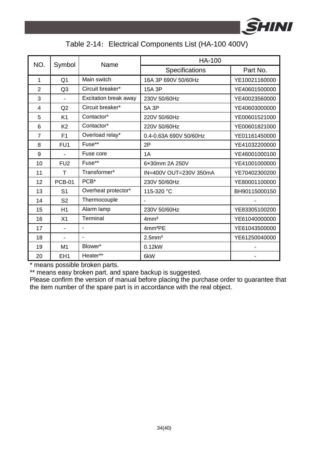

### Table 2-14: Electrical Components List (HA-100 400V)

| NO.            | Symbol                   | Name                     | <b>HA-100</b>          |               |  |
|----------------|--------------------------|--------------------------|------------------------|---------------|--|
|                |                          |                          | Specifications         | Part No.      |  |
| 1              | Q <sub>1</sub>           | Main switch              | 16A 3P 690V 50/60Hz    | YE10021160000 |  |
| $\overline{2}$ | Q <sub>3</sub>           | Circuit breaker*         | 15A 3P                 | YE40601500000 |  |
| 3              |                          | Excitation break away    | 230V 50/60Hz           | YE40023560000 |  |
| 4              | Q2                       | Circuit breaker*         | 5A 3P                  | YE40603000000 |  |
| 5              | K <sub>1</sub>           | Contactor*               | 220V 50/60Hz           | YE00601521000 |  |
| 6              | K <sub>2</sub>           | Contactor*               | 220V 50/60Hz           | YE00601821000 |  |
| 7              | F <sub>1</sub>           | Overload relay*          | 0.4-0.63A 690V 50/60Hz | YE01161450000 |  |
| 8              | FU <sub>1</sub>          | Fuse**                   | 2P                     | YE41032200000 |  |
| 9              |                          | Fuse core                | 1A                     | YE46001000100 |  |
| 10             | FU <sub>2</sub>          | Fuse**                   | 6×30mm 2A 250V         | YE41001000000 |  |
| 11             | T                        | Transformer*             | IN=400V OUT=230V 350mA | YE70402300200 |  |
| 12             | <b>PCB-01</b>            | PCB*                     | 230V 50/60Hz           | YE80001100000 |  |
| 13             | S <sub>1</sub>           | Overheat protector*      | 115-320 °C             | BH90115000150 |  |
| 14             | S <sub>2</sub>           | Thermocouple             |                        |               |  |
| 15             | H1                       | Alarm lamp               | 230V 50/60Hz           | YE83305100200 |  |
| 16             | X <sub>1</sub>           | Terminal                 | 4mm <sup>2</sup>       | YE61040000000 |  |
| 17             |                          |                          | 4mm <sup>2</sup> PE    | YE61043500000 |  |
| 18             | $\overline{\phantom{a}}$ | $\overline{\phantom{a}}$ | $2.5$ mm <sup>2</sup>  | YE61250040000 |  |
| 19             | M1                       | Blower*                  | 0.12kW                 |               |  |
| 20             | EH <sub>1</sub>          | Heater**                 | 6kW                    |               |  |

\* means possible broken parts.

\*\* means easy broken part. and spare backup is suggested.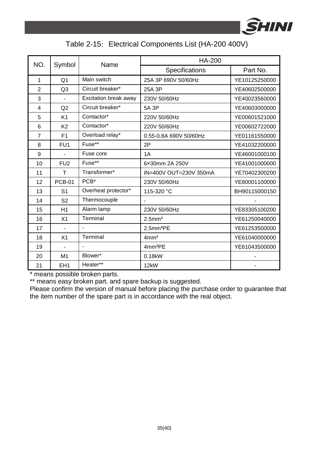

### Table 2-15: Electrical Components List (HA-200 400V)

| NO.            | Symbol                   | Name                  | <b>HA-200</b>          |               |  |
|----------------|--------------------------|-----------------------|------------------------|---------------|--|
|                |                          |                       | Specifications         | Part No.      |  |
| 1              | Q <sub>1</sub>           | Main switch           | 25A 3P 690V 50/60Hz    | YE10125250000 |  |
| $\overline{2}$ | Q <sub>3</sub>           | Circuit breaker*      | 25A 3P                 | YE40602500000 |  |
| 3              | $\blacksquare$           | Excitation break away | 230V 50/60Hz           | YE40023560000 |  |
| 4              | Q2                       | Circuit breaker*      | 5A 3P                  | YE40603000000 |  |
| 5              | K <sub>1</sub>           | Contactor*            | 220V 50/60Hz           | YE00601521000 |  |
| 6              | K <sub>2</sub>           | Contactor*            | 220V 50/60Hz           | YE00602722000 |  |
| 7              | F1                       | Overload relay*       | 0.55-0.8A 690V 50/60Hz | YE01161550000 |  |
| 8              | FU <sub>1</sub>          | Fuse**                | 2P                     | YE41032200000 |  |
| 9              |                          | Fuse core             | 1A                     | YE46001000100 |  |
| 10             | FU <sub>2</sub>          | Fuse**                | 6×30mm 2A 250V         | YE41001000000 |  |
| 11             | $\mathsf{T}$             | Transformer*          | IN=400V OUT=230V 350mA | YE70402300200 |  |
| 12             | <b>PCB-01</b>            | PCB*                  | 230V 50/60Hz           | YE80001100000 |  |
| 13             | S <sub>1</sub>           | Overheat protector*   | 115-320 °C             | BH90115000150 |  |
| 14             | S <sub>2</sub>           | Thermocouple          |                        |               |  |
| 15             | H1                       | Alarm lamp            | 230V 50/60Hz           | YE83305100200 |  |
| 16             | X <sub>1</sub>           | Terminal              | $2.5$ mm <sup>2</sup>  | YE61250040000 |  |
| 17             | $\overline{\phantom{a}}$ |                       | 2.5mm <sup>2</sup> PE  | YE61253500000 |  |
| 18             | X <sub>1</sub>           | Terminal              | 4mm <sup>2</sup>       | YE61040000000 |  |
| 19             |                          | $\blacksquare$        | 4mm <sup>2</sup> PE    | YE61043500000 |  |
| 20             | M <sub>1</sub>           | Blower*               | 0.18kW                 |               |  |
| 21             | EH <sub>1</sub>          | Heater**              | 12kW                   |               |  |

\* means possible broken parts.

\*\* means easy broken part. and spare backup is suggested.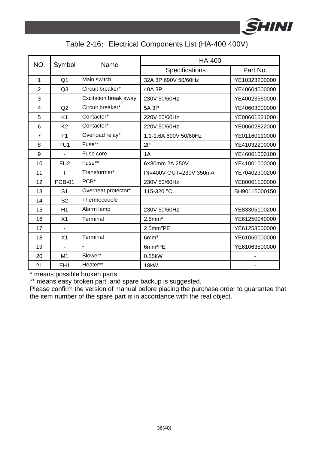

### Table 2-16: Electrical Components List (HA-400 400V)

| NO.            | Symbol                   | Name                  | <b>HA-400</b>          |               |  |
|----------------|--------------------------|-----------------------|------------------------|---------------|--|
|                |                          |                       | Specifications         | Part No.      |  |
| 1              | Q <sub>1</sub>           | Main switch           | 32A 3P 690V 50/60Hz    | YE10323200000 |  |
| $\overline{2}$ | Q <sub>3</sub>           | Circuit breaker*      | 40A 3P                 | YE40604000000 |  |
| 3              | $\blacksquare$           | Excitation break away | 230V 50/60Hz           | YE40023560000 |  |
| 4              | Q2                       | Circuit breaker*      | 5A 3P                  | YE40603000000 |  |
| 5              | K <sub>1</sub>           | Contactor*            | 220V 50/60Hz           | YE00601521000 |  |
| 6              | K <sub>2</sub>           | Contactor*            | 220V 50/60Hz           | YE00602822000 |  |
| $\overline{7}$ | F <sub>1</sub>           | Overload relay*       | 1.1-1.6A 690V 50/60Hz  | YE01160110000 |  |
| 8              | FU <sub>1</sub>          | Fuse**                | 2P                     | YE41032200000 |  |
| 9              |                          | Fuse core             | 1A                     | YE46001000100 |  |
| 10             | FU <sub>2</sub>          | Fuse**                | 6×30mm 2A 250V         | YE41001000000 |  |
| 11             | T                        | Transformer*          | IN=400V OUT=230V 350mA | YE70402300200 |  |
| 12             | <b>PCB-01</b>            | PCB*                  | 230V 50/60Hz           | YE80001100000 |  |
| 13             | S <sub>1</sub>           | Overheat protector*   | 115-320 °C             | BH90115000150 |  |
| 14             | S <sub>2</sub>           | Thermocouple          |                        |               |  |
| 15             | H1                       | Alarm lamp            | 230V 50/60Hz           | YE83305100200 |  |
| 16             | X <sub>1</sub>           | Terminal              | $2.5$ mm <sup>2</sup>  | YE61250040000 |  |
| 17             | $\overline{\phantom{a}}$ |                       | 2.5mm <sup>2</sup> PE  | YE61253500000 |  |
| 18             | X1                       | Terminal              | 6mm <sup>2</sup>       | YE61060000000 |  |
| 19             |                          |                       | 6mm <sup>2</sup> PE    | YE61063500000 |  |
| 20             | M <sub>1</sub>           | Blower*               | 0.55kW                 |               |  |
| 21             | EH <sub>1</sub>          | Heater**              | 18kW                   |               |  |

\* means possible broken parts.

\*\* means easy broken part. and spare backup is suggested.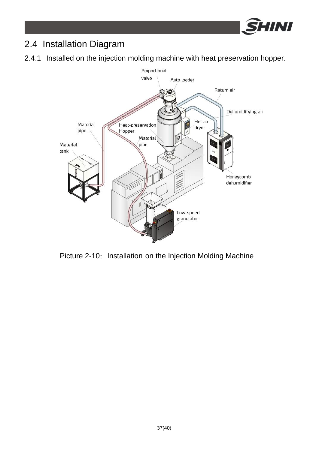

# 2.4 Installation Diagram

2.4.1 Installed on the injection molding machine with heat preservation hopper.



Picture 2-10: Installation on the Injection Molding Machine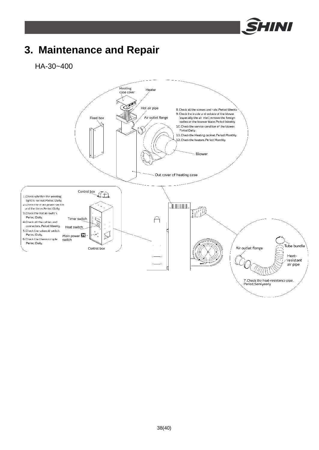

# **3. Maintenance and Repair**

#### HA-30~400

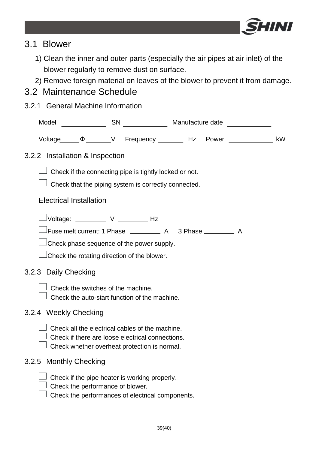

### 3.1 Blower

- 1) Clean the inner and outer parts (especially the air pipes at air inlet) of the blower regularly to remove dust on surface.
- 2) Remove foreign material on leaves of the blower to prevent it from damage.

### 3.2 Maintenance Schedule

#### 3.2.1 General Machine Information

| Model                                   |                                                                                                                                                            | SN ________________ Manufacture date _____________ |  |
|-----------------------------------------|------------------------------------------------------------------------------------------------------------------------------------------------------------|----------------------------------------------------|--|
|                                         | Voltage $\Phi$ V Frequency Hz Power ___________ kW                                                                                                         |                                                    |  |
| 3.2.2 Installation & Inspection         |                                                                                                                                                            |                                                    |  |
|                                         | Check if the connecting pipe is tightly locked or not.                                                                                                     |                                                    |  |
|                                         | Check that the piping system is correctly connected.                                                                                                       |                                                    |  |
| <b>Electrical Installation</b>          |                                                                                                                                                            |                                                    |  |
|                                         | <sup>J</sup> Voltage: __________ V _________ Hz                                                                                                            |                                                    |  |
|                                         | Fuse melt current: 1 Phase ____________ A 3 Phase ___________ A                                                                                            |                                                    |  |
|                                         | Check phase sequence of the power supply.                                                                                                                  |                                                    |  |
|                                         | Check the rotating direction of the blower.                                                                                                                |                                                    |  |
| 3.2.3 Daily Checking                    |                                                                                                                                                            |                                                    |  |
| Check the switches of the machine.      |                                                                                                                                                            |                                                    |  |
|                                         | Check the auto-start function of the machine.                                                                                                              |                                                    |  |
| 3.2.4 Weekly Checking                   |                                                                                                                                                            |                                                    |  |
|                                         | Check all the electrical cables of the machine.<br>Check if there are loose electrical connections.<br>$\Box$ Check whether overheat protection is normal. |                                                    |  |
| 3.2.5 Monthly Checking                  |                                                                                                                                                            |                                                    |  |
| $\Box$ Check the performance of blower. | $\Box$ Check if the pipe heater is working properly.<br>Check the performances of electrical components.                                                   |                                                    |  |